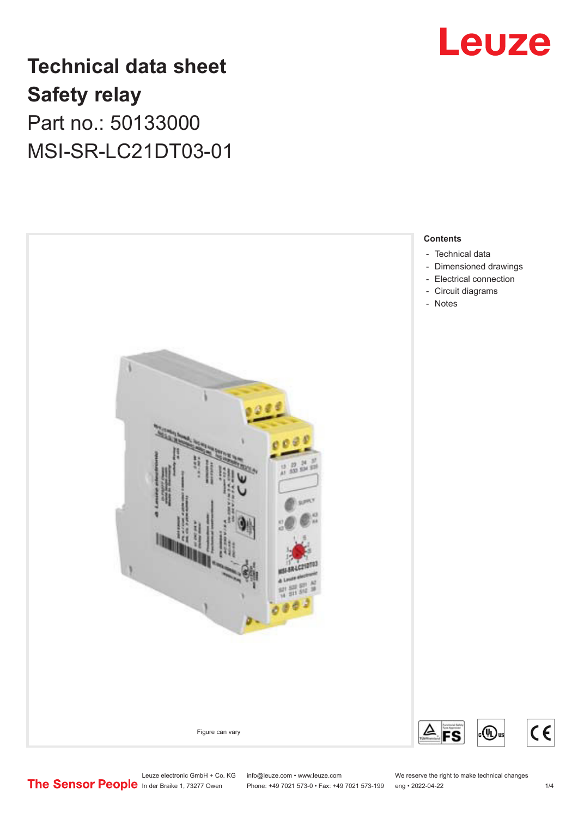

## **Technical data sheet Safety relay** Part no.: 50133000 MSI-SR-LC21DT03-01



Leuze electronic GmbH + Co. KG info@leuze.com • www.leuze.com We reserve the right to make technical changes<br>
The Sensor People in der Braike 1, 73277 Owen Phone: +49 7021 573-0 • Fax: +49 7021 573-199 eng • 2022-04-22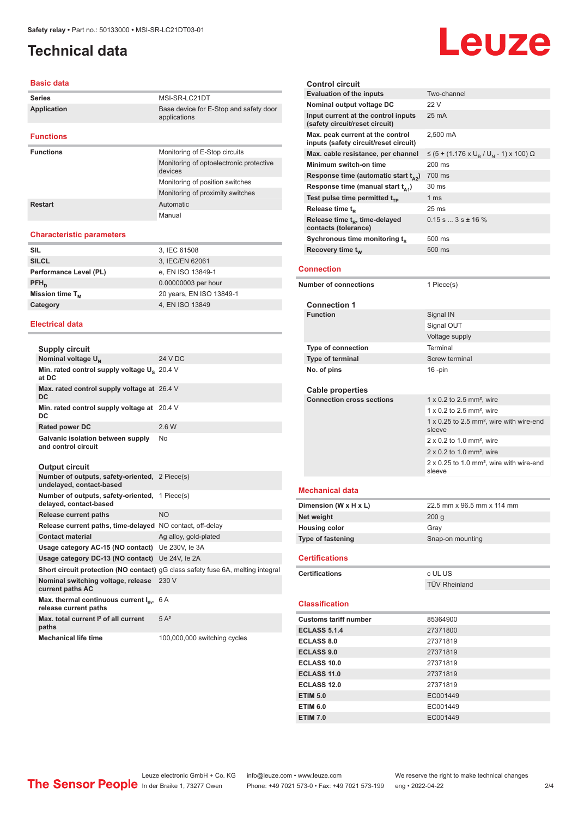### <span id="page-1-0"></span>**Technical data**

#### **Basic data**

| <b>Series</b>      | MSI-SR-LC21DT                                          |
|--------------------|--------------------------------------------------------|
| <b>Application</b> | Base device for E-Stop and safety door<br>applications |
| <b>Functions</b>   |                                                        |
| <b>Functions</b>   | Monitoring of E-Stop circuits                          |
|                    | Monitoring of optoelectronic protective<br>devices     |
|                    | Monitoring of position switches                        |
|                    | Monitoring of proximity switches                       |
| Restart            | Automatic                                              |
|                    | Manual                                                 |

#### **Characteristic parameters**

| <b>SIL</b>             | 3, IEC 61508             |
|------------------------|--------------------------|
| <b>SILCL</b>           | 3, IEC/EN 62061          |
| Performance Level (PL) | e, EN ISO 13849-1        |
| $PFH_n$                | 0.00000003 per hour      |
| Mission time $T_{M}$   | 20 years, EN ISO 13849-1 |
| Category               | 4, EN ISO 13849          |
|                        |                          |

#### **Electrical data**

| <b>Supply circuit</b>                                            |         |
|------------------------------------------------------------------|---------|
| Nominal voltage U <sub>N</sub>                                   | 24 V DC |
| Min. rated control supply voltage U <sub>s</sub> 20.4 V<br>at DC |         |
| Max. rated control supply voltage at 26.4 V<br>DC.               |         |
| Min. rated control supply voltage at 20.4 V<br>DC                |         |
| Rated power DC                                                   | 2.6 W   |
| Galvanic isolation between supply<br>and control circuit         | No      |

#### **Output circuit**

| <b>UULDUL UILUIL</b>                                                       |                                                                                        |
|----------------------------------------------------------------------------|----------------------------------------------------------------------------------------|
| Number of outputs, safety-oriented, 2 Piece(s)<br>undelayed, contact-based |                                                                                        |
| Number of outputs, safety-oriented, 1 Piece(s)<br>delayed, contact-based   |                                                                                        |
| Release current paths                                                      | <b>NO</b>                                                                              |
| Release current paths, time-delayed NO contact, off-delay                  |                                                                                        |
| <b>Contact material</b>                                                    | Ag alloy, gold-plated                                                                  |
| Usage category AC-15 (NO contact) Ue 230V, le 3A                           |                                                                                        |
| Usage category DC-13 (NO contact) Ue 24V, le 2A                            |                                                                                        |
|                                                                            | <b>Short circuit protection (NO contact)</b> gG class safety fuse 6A, melting integral |
| Nominal switching voltage, release 230 V<br>current paths AC               |                                                                                        |
| Max. thermal continuous current I <sub>th</sub> ,<br>release current paths | 6 A                                                                                    |
| Max, total current <sup>2</sup> of all current<br>paths                    | $5A^2$                                                                                 |
| <b>Mechanical life time</b>                                                | 100,000,000 switching cycles                                                           |

#### **Control circuit Evaluation of the inputs** Two-channel **Nominal output voltage DC** 22 V **Input current at the control inputs (safety circuit/reset circuit)** 25 mA **Max. peak current at the control inputs (safety circuit/reset circuit)** 2,500 mA Max. cable resistance, per channel , / U<sub>N</sub> - 1) x 100) Ω **Minimum switch-on time** 200 ms **Response time (automatic start**  $t_{A2}$ **)** 700 ms<br>**Response time (manual start**  $t_{A1}$ **)** 30 ms **Response time (manual start t<sub>A1</sub>) Test pulse time permitted t<sub>rp</sub>** 1 ms **Release time t<sub>R</sub>** 25 ms **Release time t<sup>R</sup> , time-delayed contacts (tolerance)**  $0.15$  s  $...$  3 s  $\pm$  16 % **Sychronous time monitoring ts** 500 ms **Recovery time t<sub>W</sub> 500 ms Connection Number of connections** 1 Piece(s) **Connection 1 Function** Signal IN Signal OUT Voltage supply **Type of connection** Terminal **Type of terminal** Screw terminal **No. of pins** 16 -pin **Cable properties Connection cross sections** 1 x 0.2 to 2.5 mm<sup>2</sup>, wire  $1 \times 0.2$  to  $2.5$  mm<sup>2</sup> wire 1 x 0.25 to 2.5 mm², wire with wire-end sleeve 2 x 0.2 to 1.0 mm², wire 2 x 0.2 to 1.0 mm², wire 2 x 0.25 to 1.0 mm², wire with wire-end sleeve **Mechanical data Dimension (W x H x L)** 22.5 mm x 96.5 mm x 114 mm **Net weight** 200 g **Housing color** Gray **Type of fastening** Snap-on mounting **Certifications Certifications** c UL US TÜV Rheinland **Classification Customs tariff number** 85364900 **ECLASS 5.1.4** 27371800 **ECLASS 8.0** 27371819 **ECLASS 9.0** 27371819 **ECLASS 10.0** 27371819 **ECLASS 11.0** 27371819 **ECLASS 12.0** 27371819 **ETIM 5.0** EC001449 **ETIM 6.0** EC001449

Phone: +49 7021 573-0 • Fax: +49 7021 573-199 eng • 2022-04-22 2 2/4

**ETIM 7.0** EC001449

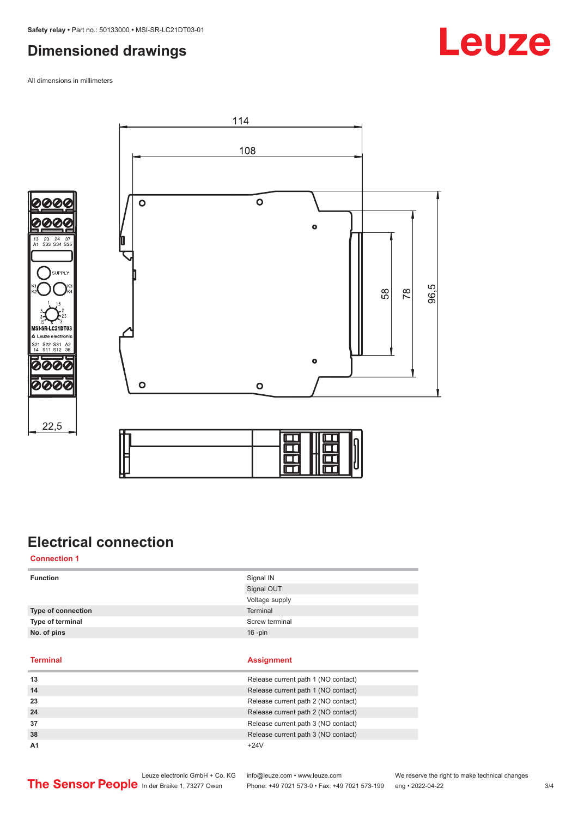### <span id="page-2-0"></span>**Dimensioned drawings**

All dimensions in millimeters







 $22,5$ 

### **Electrical connection**

**Connection 1**

| <b>Function</b>  | Signal IN<br>Signal OUT             |          |  |
|------------------|-------------------------------------|----------|--|
|                  |                                     |          |  |
|                  | <b>Type of connection</b>           | Terminal |  |
| Type of terminal | Screw terminal                      |          |  |
| No. of pins      | $16$ -pin                           |          |  |
|                  |                                     |          |  |
|                  |                                     |          |  |
| <b>Terminal</b>  | <b>Assignment</b>                   |          |  |
| 13               | Release current path 1 (NO contact) |          |  |
| 14               | Release current path 1 (NO contact) |          |  |
| 23               | Release current path 2 (NO contact) |          |  |
| 24               | Release current path 2 (NO contact) |          |  |

**38 Release current path 3 (NO contact)** 

**A1** +24V